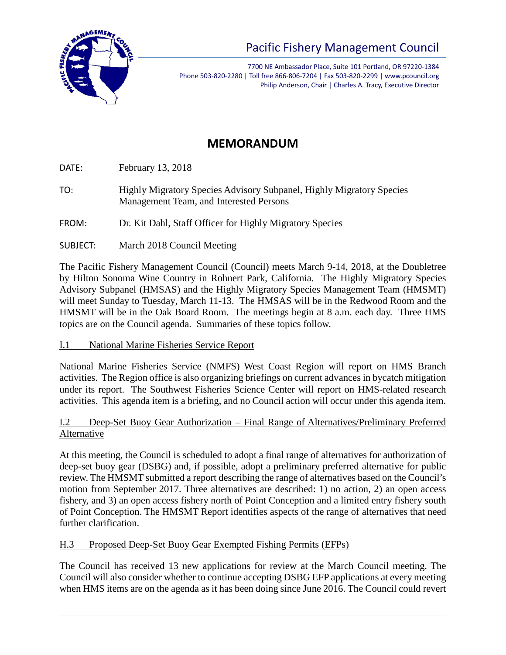

# Pacific Fishery Management Council

7700 NE Ambassador Place, Suite 101 Portland, OR 97220-1384 Phone 503-820-2280 | Toll free 866-806-7204 | Fax 503-820-2299 | www.pcouncil.org Philip Anderson, Chair | Charles A. Tracy, Executive Director

## **MEMORANDUM**

DATE: February 13, 2018

TO: Highly Migratory Species Advisory Subpanel, Highly Migratory Species Management Team, and Interested Persons

FROM: Dr. Kit Dahl, Staff Officer for Highly Migratory Species

SUBJECT: March 2018 Council Meeting

The Pacific Fishery Management Council (Council) meets March 9-14, 2018, at the Doubletree by Hilton Sonoma Wine Country in Rohnert Park, California. The Highly Migratory Species Advisory Subpanel (HMSAS) and the Highly Migratory Species Management Team (HMSMT) will meet Sunday to Tuesday, March 11-13. The HMSAS will be in the Redwood Room and the HMSMT will be in the Oak Board Room. The meetings begin at 8 a.m. each day. Three HMS topics are on the Council agenda. Summaries of these topics follow.

#### I.1 National Marine Fisheries Service Report

National Marine Fisheries Service (NMFS) West Coast Region will report on HMS Branch activities. The Region office is also organizing briefings on current advances in bycatch mitigation under its report. The Southwest Fisheries Science Center will report on HMS-related research activities. This agenda item is a briefing, and no Council action will occur under this agenda item.

#### I.2 Deep-Set Buoy Gear Authorization – Final Range of Alternatives/Preliminary Preferred Alternative

At this meeting, the Council is scheduled to adopt a final range of alternatives for authorization of deep-set buoy gear (DSBG) and, if possible, adopt a preliminary preferred alternative for public review. The HMSMT submitted a report describing the range of alternatives based on the Council's motion from September 2017. Three alternatives are described: 1) no action, 2) an open access fishery, and 3) an open access fishery north of Point Conception and a limited entry fishery south of Point Conception. The HMSMT Report identifies aspects of the range of alternatives that need further clarification.

### H.3 Proposed Deep-Set Buoy Gear Exempted Fishing Permits (EFPs)

The Council has received 13 new applications for review at the March Council meeting. The Council will also consider whether to continue accepting DSBG EFP applications at every meeting when HMS items are on the agenda as it has been doing since June 2016. The Council could revert